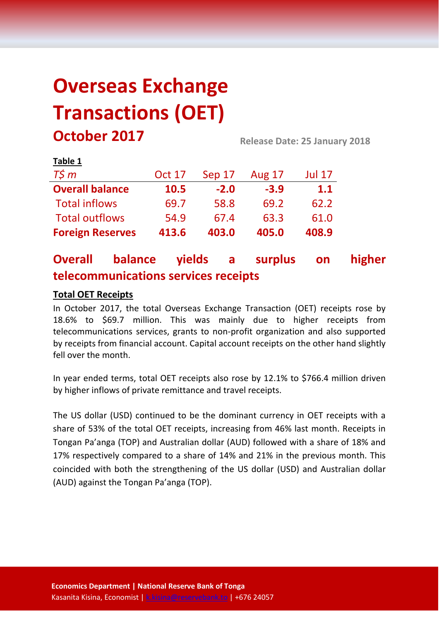# **Overseas Exchange Transactions (OET) October 2017 Release Date: 25 January 2018**

| LANIC T                 |               |        |               |               |
|-------------------------|---------------|--------|---------------|---------------|
| $T\zeta m$              | <b>Oct 17</b> | Sep 17 | <b>Aug 17</b> | <b>Jul 17</b> |
| <b>Overall balance</b>  | 10.5          | $-2.0$ | $-3.9$        | 1.1           |
| <b>Total inflows</b>    | 69.7          | 58.8   | 69.2          | 62.2          |
| <b>Total outflows</b>   | 54.9          | 67.4   | 63.3          | 61.0          |
| <b>Foreign Reserves</b> | 413.6         | 403.0  | 405.0         | 408.9         |

# **Overall balance yields a surplus on higher telecommunications services receipts**

# **Total OET Receipts**

**Table 1**

In October 2017, the total Overseas Exchange Transaction (OET) receipts rose by 18.6% to \$69.7 million. This was mainly due to higher receipts from telecommunications services, grants to non-profit organization and also supported by receipts from financial account. Capital account receipts on the other hand slightly fell over the month.

In year ended terms, total OET receipts also rose by 12.1% to \$766.4 million driven by higher inflows of private remittance and travel receipts.

The US dollar (USD) continued to be the dominant currency in OET receipts with a share of 53% of the total OET receipts, increasing from 46% last month. Receipts in Tongan Pa'anga (TOP) and Australian dollar (AUD) followed with a share of 18% and 17% respectively compared to a share of 14% and 21% in the previous month. This coincided with both the strengthening of the US dollar (USD) and Australian dollar (AUD) against the Tongan Pa'anga (TOP).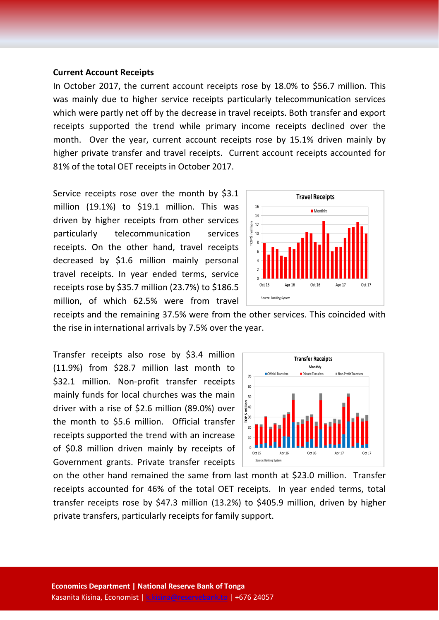#### **Current Account Receipts**

In October 2017, the current account receipts rose by 18.0% to \$56.7 million. This was mainly due to higher service receipts particularly telecommunication services which were partly net off by the decrease in travel receipts. Both transfer and export receipts supported the trend while primary income receipts declined over the month. Over the year, current account receipts rose by 15.1% driven mainly by higher private transfer and travel receipts. Current account receipts accounted for 81% of the total OET receipts in October 2017.

Service receipts rose over the month by \$3.1 million (19.1%) to \$19.1 million. This was driven by higher receipts from other services particularly telecommunication services receipts. On the other hand, travel receipts decreased by \$1.6 million mainly personal travel receipts. In year ended terms, service receipts rose by \$35.7 million (23.7%) to \$186.5 million, of which 62.5% were from travel



receipts and the remaining 37.5% were from the other services. This coincided with the rise in international arrivals by 7.5% over the year.

Transfer receipts also rose by \$3.4 million (11.9%) from \$28.7 million last month to \$32.1 million. Non-profit transfer receipts mainly funds for local churches was the main driver with a rise of \$2.6 million (89.0%) over the month to \$5.6 million. Official transfer receipts supported the trend with an increase of \$0.8 million driven mainly by receipts of Government grants. Private transfer receipts



on the other hand remained the same from last month at \$23.0 million. Transfer receipts accounted for 46% of the total OET receipts. In year ended terms, total transfer receipts rose by \$47.3 million (13.2%) to \$405.9 million, driven by higher private transfers, particularly receipts for family support.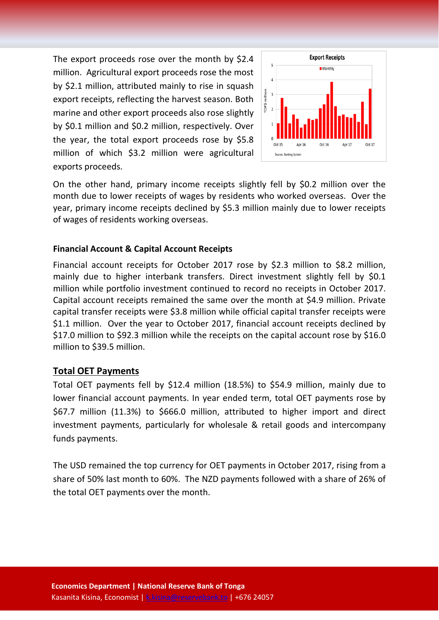The export proceeds rose over the month by \$2.4 million. Agricultural export proceeds rose the most by \$2.1 million, attributed mainly to rise in squash export receipts, reflecting the harvest season. Both marine and other export proceeds also rose slightly by \$0.1 million and \$0.2 million, respectively. Over the year, the total export proceeds rose by \$5.8 million of which \$3.2 million were agricultural exports proceeds.



On the other hand, primary income receipts slightly fell by \$0.2 million over the month due to lower receipts of wages by residents who worked overseas. Over the year, primary income receipts declined by \$5.3 million mainly due to lower receipts of wages of residents working overseas.

#### **Financial Account & Capital Account Receipts**

Financial account receipts for October 2017 rose by \$2.3 million to \$8.2 million, mainly due to higher interbank transfers. Direct investment slightly fell by \$0.1 million while portfolio investment continued to record no receipts in October 2017. Capital account receipts remained the same over the month at \$4.9 million. Private capital transfer receipts were \$3.8 million while official capital transfer receipts were \$1.1 million. Over the year to October 2017, financial account receipts declined by \$17.0 million to \$92.3 million while the receipts on the capital account rose by \$16.0 million to \$39.5 million.

#### **Total OET Payments**

Total OET payments fell by \$12.4 million (18.5%) to \$54.9 million, mainly due to lower financial account payments. In year ended term, total OET payments rose by \$67.7 million (11.3%) to \$666.0 million, attributed to higher import and direct investment payments, particularly for wholesale & retail goods and intercompany funds payments.

The USD remained the top currency for OET payments in October 2017, rising from a share of 50% last month to 60%. The NZD payments followed with a share of 26% of the total OET payments over the month.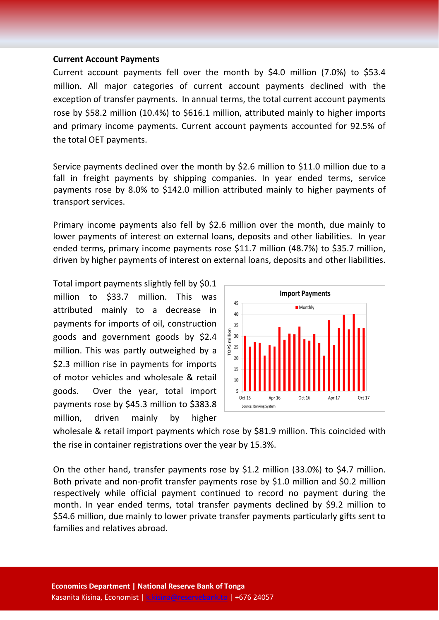#### **Current Account Payments**

Current account payments fell over the month by \$4.0 million (7.0%) to \$53.4 million. All major categories of current account payments declined with the exception of transfer payments. In annual terms, the total current account payments rose by \$58.2 million (10.4%) to \$616.1 million, attributed mainly to higher imports and primary income payments. Current account payments accounted for 92.5% of the total OET payments.

Service payments declined over the month by \$2.6 million to \$11.0 million due to a fall in freight payments by shipping companies. In year ended terms, service payments rose by 8.0% to \$142.0 million attributed mainly to higher payments of transport services.

Primary income payments also fell by \$2.6 million over the month, due mainly to lower payments of interest on external loans, deposits and other liabilities. In year ended terms, primary income payments rose \$11.7 million (48.7%) to \$35.7 million, driven by higher payments of interest on external loans, deposits and other liabilities.

Total import payments slightly fell by \$0.1 million to \$33.7 million. This was attributed mainly to a decrease in payments for imports of oil, construction goods and government goods by \$2.4 million. This was partly outweighed by a \$2.3 million rise in payments for imports of motor vehicles and wholesale & retail goods. Over the year, total import payments rose by \$45.3 million to \$383.8 million, driven mainly by higher



wholesale & retail import payments which rose by \$81.9 million. This coincided with the rise in container registrations over the year by 15.3%.

On the other hand, transfer payments rose by \$1.2 million (33.0%) to \$4.7 million. Both private and non-profit transfer payments rose by \$1.0 million and \$0.2 million respectively while official payment continued to record no payment during the month. In year ended terms, total transfer payments declined by \$9.2 million to \$54.6 million, due mainly to lower private transfer payments particularly gifts sent to families and relatives abroad.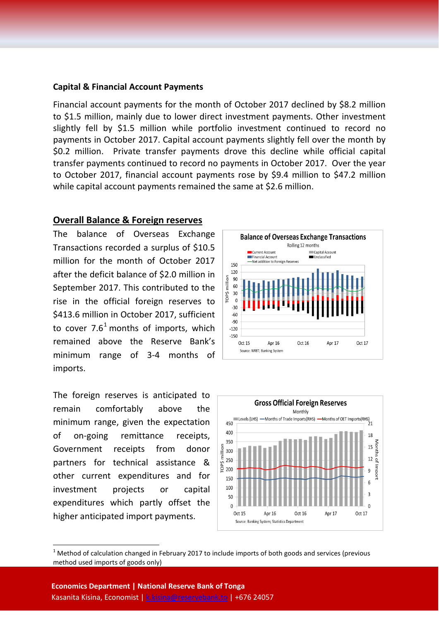#### **Capital & Financial Account Payments**

Financial account payments for the month of October 2017 declined by \$8.2 million to \$1.5 million, mainly due to lower direct investment payments. Other investment slightly fell by \$1.5 million while portfolio investment continued to record no payments in October 2017. Capital account payments slightly fell over the month by \$0.2 million. Private transfer payments drove this decline while official capital transfer payments continued to record no payments in October 2017. Over the year to October 2017, financial account payments rose by \$9.4 million to \$47.2 million while capital account payments remained the same at \$2.6 million.

### **Overall Balance & Foreign reserves**

The balance of Overseas Exchange Transactions recorded a surplus of \$10.5 million for the month of October 2017 after the deficit balance of \$2.0 million in September 2017. This contributed to the rise in the official foreign reserves to \$413.6 million in October 2017, sufficient to cover  $7.6<sup>1</sup>$  $7.6<sup>1</sup>$  $7.6<sup>1</sup>$  months of imports, which remained above the Reserve Bank's minimum range of 3-4 months of imports.

The foreign reserves is anticipated to remain comfortably above the minimum range, given the expectation of on-going remittance receipts, Government receipts from donor partners for technical assistance & other current expenditures and for investment projects or capital expenditures which partly offset the higher anticipated import payments.





<span id="page-4-0"></span> $1$  Method of calculation changed in February 2017 to include imports of both goods and services (previous method used imports of goods only)